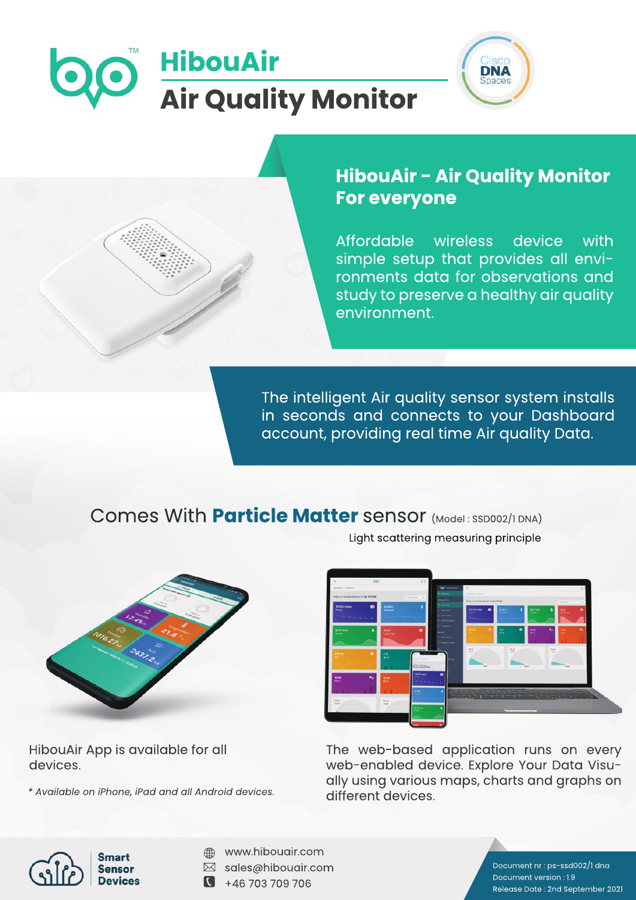# **HibouAir Air Quality Monitor**



## **HibouAir - Air Quality Monitor For everyone**

Affordable wireless device with simple setup that provides all environments data for observations and study to preserve a healthy air quality environment.

The intelligent Air quality sensor system installs in seconds and connects to your Dashboard account, providing real time Air quality Data.

## Comes With **Particle Matter** sensor (Model: SSD002/1DNA) Light scattering measuring principle



HibouAir App is available for all devices.

*\*AvailableoniPhone,iPadandallAndroiddevices.*



The web-based application runs on every web-enabled device. Explore Your Data Visually using various maps, charts and graphs on different devices.



- www.hibouair.com
- $\boxtimes$  sales@hibouair.com
- $\bullet$  +46 703 709 706

Document nr : ps-ssd002/1 dna Document version: 1.9 Release Date: 2nd September 2021